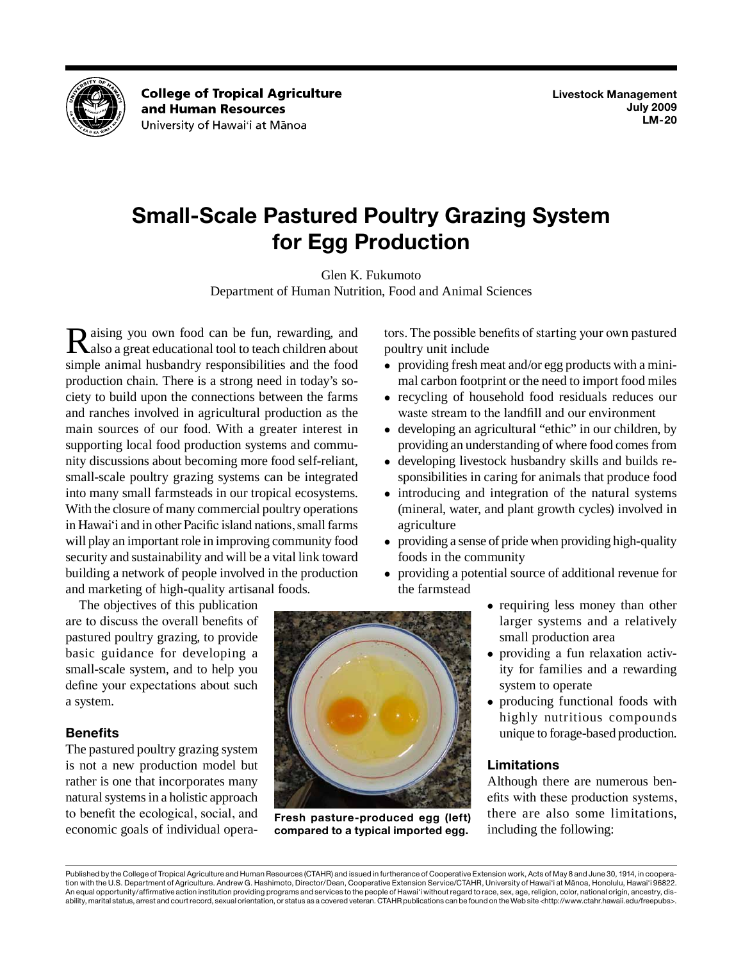

**College of Tropical Agriculture** and Human Resources University of Hawai'i at Mānoa

# **Small-Scale Pastured Poultry Grazing System for Egg Production**

Glen K. Fukumoto

Department of Human Nutrition, Food and Animal Sciences

aising you own food can be fun, rewarding, and main sources of our food. With a greater interest in With the closure of many commercial poultry operations in Hawai'i and in other Pacific island nations, small farms will play an important role in improving community food security and sustainability and will be a vital link toward Raising you own food can be fun, rewarding, and also a great educational tool to teach children about simple animal husbandry responsibilities and the food production chain. There is a strong need in today's society to build upon the connections between the farms and ranches involved in agricultural production as the supporting local food production systems and community discussions about becoming more food self-reliant, small-scale poultry grazing systems can be integrated into many small farmsteads in our tropical ecosystems. building a network of people involved in the production and marketing of high-quality artisanal foods.

 basic guidance for developing a The objectives of this publication are to discuss the overall benefits of pastured poultry grazing, to provide small-scale system, and to help you define your expectations about such a system.

# **Benefits**

 is not a new production model but natural systems in a holistic approach The pastured poultry grazing system rather is one that incorporates many to benefit the ecological, social, and economic goals of individual operators. The possible benefits of starting your own pastured poultry unit include

- providing fresh meat and/or egg products with a minimal carbon footprint or the need to import food miles
- • recycling of household food residuals reduces our waste stream to the landfill and our environment
- providing an understanding of where food comes from • developing an agricultural "ethic" in our children, by
- developing livestock husbandry skills and builds responsibilities in caring for animals that produce food
- introducing and integration of the natural systems (mineral, water, and plant growth cycles) involved in agriculture
- • providing a sense of pride when providing high-quality foods in the community
- providing a potential source of additional revenue for the farmstead
	- • requiring less money than other larger systems and a relatively small production area
	- ity for families and a rewarding • providing a fun relaxation activsystem to operate
	- • producing functional foods with highly nutritious compounds unique to forage-based production.

# **Limitations**

 there are also some limitations, Although there are numerous benefits with these production systems, including the following:



 Published by the College of Tropical Agriculture and Human Resources (CTAHR) and issued in furtherance of Cooperative Extension work, Acts of May 8 and June 30, 1914, in coopera- tion with the U.S. Department of Agriculture. Andrew G. Hashimoto, Director/Dean, Cooperative Extension Service/CTAHR, University of Hawai'i at Mānoa, Honolulu, Hawai'i 96822. An equal opportunity/affirmative action institution providing programs and services to the people of Hawai'i without regard to race, sex, age, religion, color, national origin, ancestry, dis-ability, marital status, arrest and court record, sexual orientation, or status as a covered veteran. CTAHR publications can be found on the Web site <http://www.ctahr.hawaii.edu/freepubs>.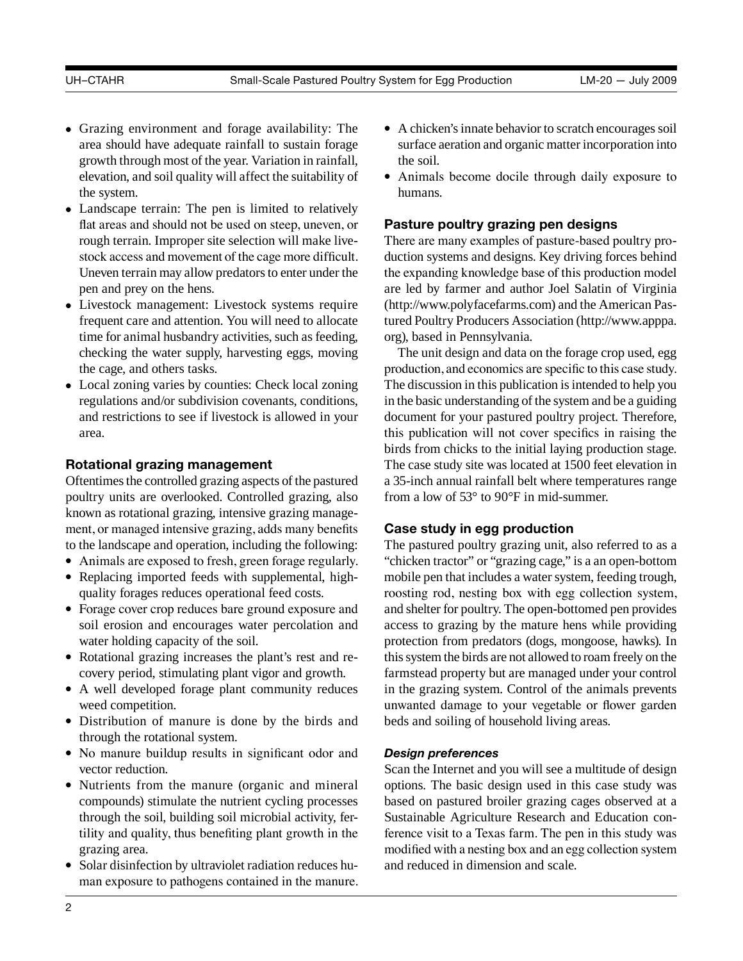- • Grazing environment and forage availability: The growth through most of the year. Variation in rainfall, area should have adequate rainfall to sustain forage elevation, and soil quality will affect the suitability of the system.
- • Landscape terrain: The pen is limited to relatively stock access and movement of the cage more difficult. Uneven terrain may allow predators to enter under the flat areas and should not be used on steep, uneven, or rough terrain. Improper site selection will make livepen and prey on the hens.
- • Livestock management: Livestock systems require frequent care and attention. You will need to allocate time for animal husbandry activities, such as feeding, checking the water supply, harvesting eggs, moving the cage, and others tasks.
- Local zoning varies by counties: Check local zoning regulations and/or subdivision covenants, conditions, and restrictions to see if livestock is allowed in your area.

# **Rotational grazing management**

 Oftentimes the controlled grazing aspects of the pastured poultry units are overlooked. Controlled grazing, also known as rotational grazing, intensive grazing management, or managed intensive grazing, adds many benefits to the landscape and operation, including the following:

- Animals are exposed to fresh, green forage regularly.
- Replacing imported feeds with supplemental, highquality forages reduces operational feed costs.
- soil erosion and encourages water percolation and • Forage cover crop reduces bare ground exposure and water holding capacity of the soil.
- Rotational grazing increases the plant's rest and recovery period, stimulating plant vigor and growth.
- • A well developed forage plant community reduces weed competition.
- • Distribution of manure is done by the birds and through the rotational system.
- • No manure buildup results in significant odor and vector reduction.
- • Nutrients from the manure (organic and mineral compounds) stimulate the nutrient cycling processes through the soil, building soil microbial activity, fertility and quality, thus benefiting plant growth in the grazing area.
- Solar disinfection by ultraviolet radiation reduces human exposure to pathogens contained in the manure.
- • A chicken's innate behavior to scratch encourages soil surface aeration and organic matter incorporation into the soil.
- • Animals become docile through daily exposure to humans.

# **Pasture poultry grazing pen designs**

 (<http://www.polyfacefarms.com>) and the American Pas- tured Poultry Producers Association ([http://www.apppa.](http://www.apppa.org) There are many examples of pasture-based poultry production systems and designs. Key driving forces behind the expanding knowledge base of this production model are led by farmer and author Joel Salatin of Virginia [org](http://www.apppa.org)), based in Pennsylvania.

 production, and economics are specific to this case study. The discussion in this publication is intended to help you in the basic understanding of the system and be a guiding The unit design and data on the forage crop used, egg document for your pastured poultry project. Therefore, this publication will not cover specifics in raising the birds from chicks to the initial laying production stage. The case study site was located at 1500 feet elevation in a 35-inch annual rainfall belt where temperatures range from a low of 53° to 90°F in mid-summer.

# **Case study in egg production**

 roosting rod, nesting box with egg collection system, and shelter for poultry. The open-bottomed pen provides this system the birds are not allowed to roam freely on the The pastured poultry grazing unit, also referred to as a "chicken tractor" or "grazing cage," is a an open-bottom mobile pen that includes a water system, feeding trough, access to grazing by the mature hens while providing protection from predators (dogs, mongoose, hawks). In farmstead property but are managed under your control in the grazing system. Control of the animals prevents unwanted damage to your vegetable or flower garden beds and soiling of household living areas.

# *Design preferences*

 modified with a nesting box and an egg collection system Scan the Internet and you will see a multitude of design options. The basic design used in this case study was based on pastured broiler grazing cages observed at a Sustainable Agriculture Research and Education conference visit to a Texas farm. The pen in this study was and reduced in dimension and scale.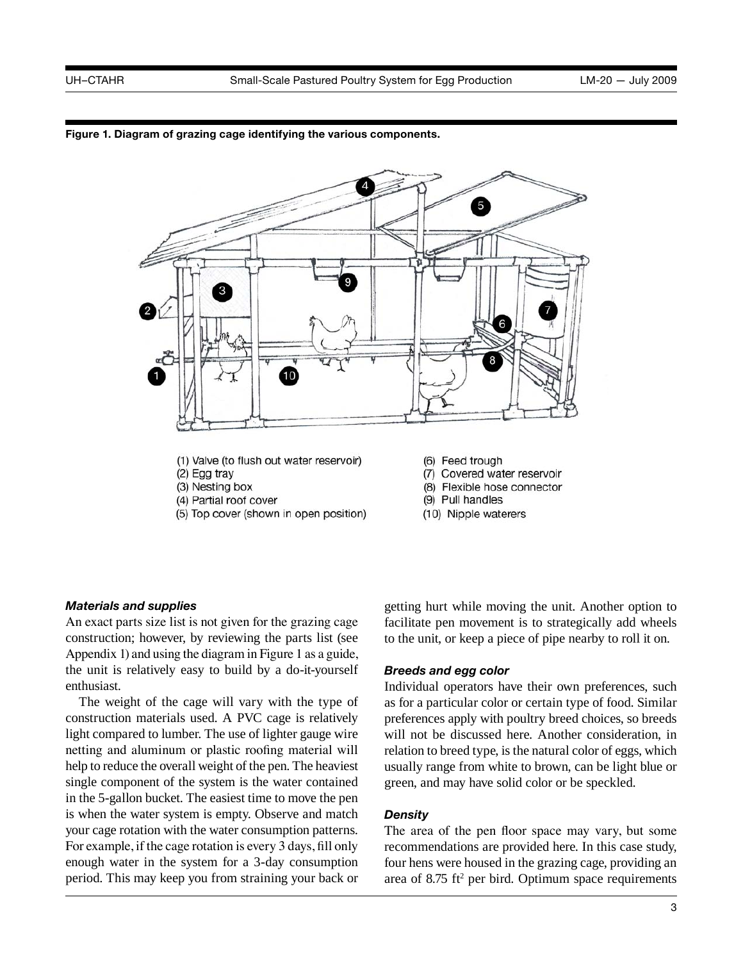



- 10
	- (1) Valve (to flush out water reservoir)
	- (2) Egg tray
	- (3) Nesting box
	- (4) Partial roof cover
	- (5) Top cover (shown in open position)
- (6) Feed trough
- (7) Covered water reservoir
- (8) Flexible hose connector (9) Pull handles
- 
- (10) Nipple waterers

## *Materials and supplies*

 Appendix 1) and using the diagram in Figure 1 as a guide, the unit is relatively easy to build by a do-it-yourself An exact parts size list is not given for the grazing cage construction; however, by reviewing the parts list (see enthusiast.

 help to reduce the overall weight of the pen. The heaviest For example, if the cage rotation is every 3 days, fill only enough water in the system for a 3-day consumption The weight of the cage will vary with the type of construction materials used. A PVC cage is relatively light compared to lumber. The use of lighter gauge wire netting and aluminum or plastic roofing material will single component of the system is the water contained in the 5-gallon bucket. The easiest time to move the pen is when the water system is empty. Observe and match your cage rotation with the water consumption patterns. period. This may keep you from straining your back or

getting hurt while moving the unit. Another option to facilitate pen movement is to strategically add wheels to the unit, or keep a piece of pipe nearby to roll it on.

## *Breeds and egg color*

 will not be discussed here. Another consideration, in Individual operators have their own preferences, such as for a particular color or certain type of food. Similar preferences apply with poultry breed choices, so breeds relation to breed type, is the natural color of eggs, which usually range from white to brown, can be light blue or green, and may have solid color or be speckled.

## *Density*

 The area of the pen floor space may vary, but some recommendations are provided here. In this case study, four hens were housed in the grazing cage, providing an area of  $8.75$  ft<sup>2</sup> per bird. Optimum space requirements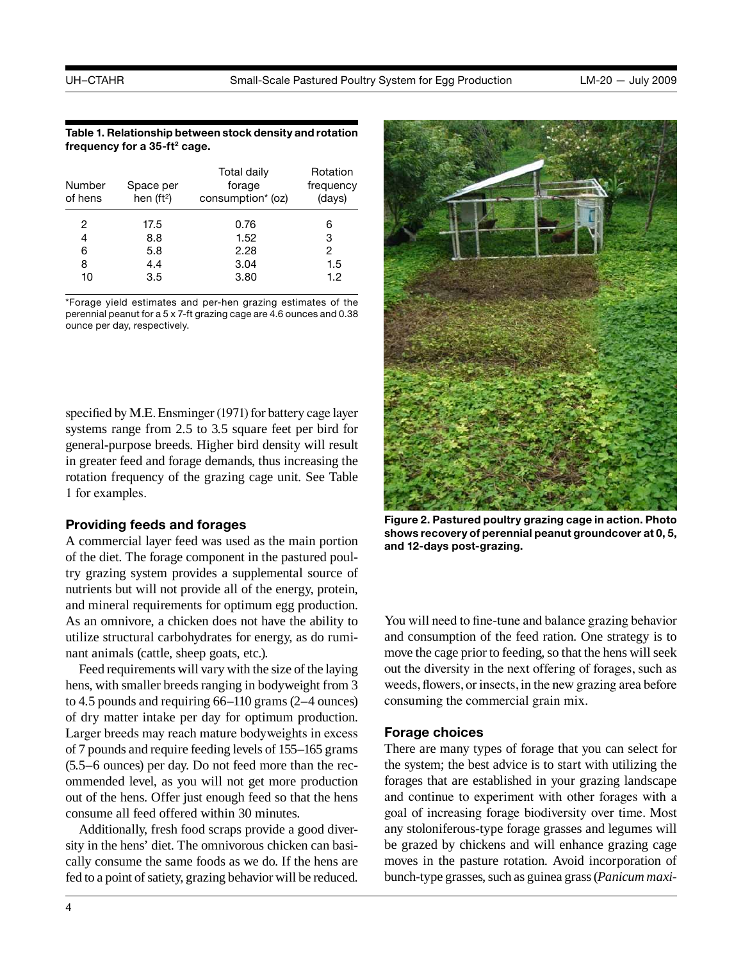#### **Table 1. Relationship between stock density and rotation**  frequency for a 35-ft<sup>2</sup> cage.

| Number<br>of hens | Space per<br>hen $(ft^2)$ | Total daily<br>forage<br>consumption* (oz) | Rotation<br>frequency<br>(days) |
|-------------------|---------------------------|--------------------------------------------|---------------------------------|
| 2                 | 17.5                      | 0.76                                       | 6                               |
| 4                 | 8.8                       | 1.52                                       | 3                               |
| 6                 | 5.8                       | 2.28                                       | 2                               |
| 8                 | 4.4                       | 3.04                                       | 1.5                             |
| 10                | 3.5                       | 3.80                                       | 1.2                             |

 \*Forage yield estimates and per-hen grazing estimates of the perennial peanut for a 5 x 7-ft grazing cage are 4.6 ounces and 0.38 ounce per day, respectively.

 specified by M.E. Ensminger (1971) for battery cage layer systems range from 2.5 to 3.5 square feet per bird for general-purpose breeds. Higher bird density will result in greater feed and forage demands, thus increasing the rotation frequency of the grazing cage unit. See Table 1 for examples.

## **Providing feeds and forages**

A commercial layer feed was used as the main portion of the diet. The forage component in the pastured poultry grazing system provides a supplemental source of nutrients but will not provide all of the energy, protein, and mineral requirements for optimum egg production. As an omnivore, a chicken does not have the ability to utilize structural carbohydrates for energy, as do ruminant animals (cattle, sheep goats, etc.).

 of 7 pounds and require feeding levels of 155–165 grams Feed requirements will vary with the size of the laying hens, with smaller breeds ranging in bodyweight from 3 to 4.5 pounds and requiring 66–110 grams (2–4 ounces) of dry matter intake per day for optimum production. Larger breeds may reach mature bodyweights in excess (5.5–6 ounces) per day. Do not feed more than the recommended level, as you will not get more production out of the hens. Offer just enough feed so that the hens consume all feed offered within 30 minutes.

 fed to a point of satiety, grazing behavior will be reduced. Additionally, fresh food scraps provide a good diversity in the hens' diet. The omnivorous chicken can basically consume the same foods as we do. If the hens are



 **shows recovery of perennial peanut groundcover at 0, 5, Figure 2. Pastured poultry grazing cage in action. Photo and 12-days post-grazing.** 

 weeds, flowers, or insects, in the new grazing area before You will need to fine-tune and balance grazing behavior and consumption of the feed ration. One strategy is to move the cage prior to feeding, so that the hens will seek out the diversity in the next offering of forages, such as consuming the commercial grain mix.

## **Forage choices**

 bunch-type grasses, such as guinea grass (*Panicum maxi-*There are many types of forage that you can select for the system; the best advice is to start with utilizing the forages that are established in your grazing landscape and continue to experiment with other forages with a goal of increasing forage biodiversity over time. Most any stoloniferous-type forage grasses and legumes will be grazed by chickens and will enhance grazing cage moves in the pasture rotation. Avoid incorporation of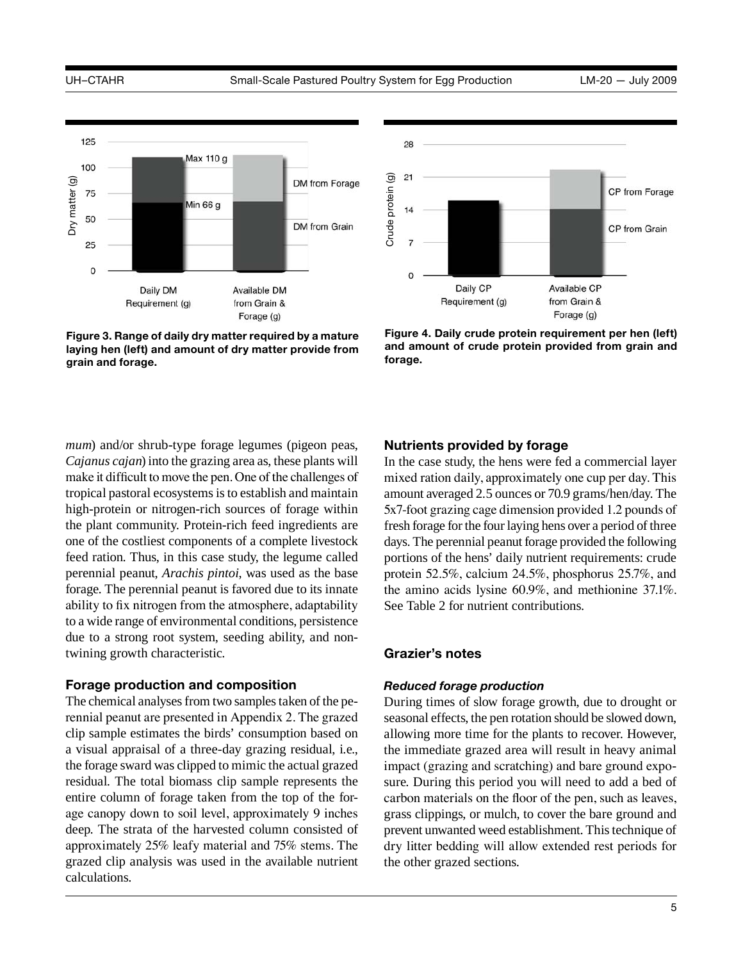

**Figure 3. Range of daily dry matter required by a mature laying hen (left) and amount of dry matter provide from** 

 *Cajanus cajan*) into the grazing area as, these plants will make it difficult to move the pen. One of the challenges of to a wide range of environmental conditions, persistence *mum*) and/or shrub-type forage legumes (pigeon peas, tropical pastoral ecosystems is to establish and maintain high-protein or nitrogen-rich sources of forage within the plant community. Protein-rich feed ingredients are one of the costliest components of a complete livestock feed ration. Thus, in this case study, the legume called perennial peanut, *Arachis pintoi*, was used as the base forage. The perennial peanut is favored due to its innate ability to fix nitrogen from the atmosphere, adaptability due to a strong root system, seeding ability, and nontwining growth characteristic.

#### **Forage production and composition**

 The chemical analyses from two samples taken of the pe- the forage sward was clipped to mimic the actual grazed rennial peanut are presented in Appendix 2. The grazed clip sample estimates the birds' consumption based on a visual appraisal of a three-day grazing residual, i.e., residual. The total biomass clip sample represents the entire column of forage taken from the top of the forage canopy down to soil level, approximately 9 inches deep. The strata of the harvested column consisted of approximately 25% leafy material and 75% stems. The grazed clip analysis was used in the available nutrient calculations.



**Figure 4. Daily crude protein requirement per hen (left) and amount of crude protein provided from grain and** 

## **Nutrients provided by forage**

 amount averaged 2.5 ounces or 70.9 grams/hen/day. The fresh forage for the four laying hens over a period of three days. The perennial peanut forage provided the following In the case study, the hens were fed a commercial layer mixed ration daily, approximately one cup per day. This 5x7-foot grazing cage dimension provided 1.2 pounds of portions of the hens' daily nutrient requirements: crude protein 52.5%, calcium 24.5%, phosphorus 25.7%, and the amino acids lysine 60.9%, and methionine 37.1%. See Table 2 for nutrient contributions.

#### **Grazier's notes**

#### *Reduced forage production*

 seasonal effects, the pen rotation should be slowed down, prevent unwanted weed establishment. This technique of During times of slow forage growth, due to drought or allowing more time for the plants to recover. However, the immediate grazed area will result in heavy animal impact (grazing and scratching) and bare ground exposure. During this period you will need to add a bed of carbon materials on the floor of the pen, such as leaves, grass clippings, or mulch, to cover the bare ground and dry litter bedding will allow extended rest periods for the other grazed sections.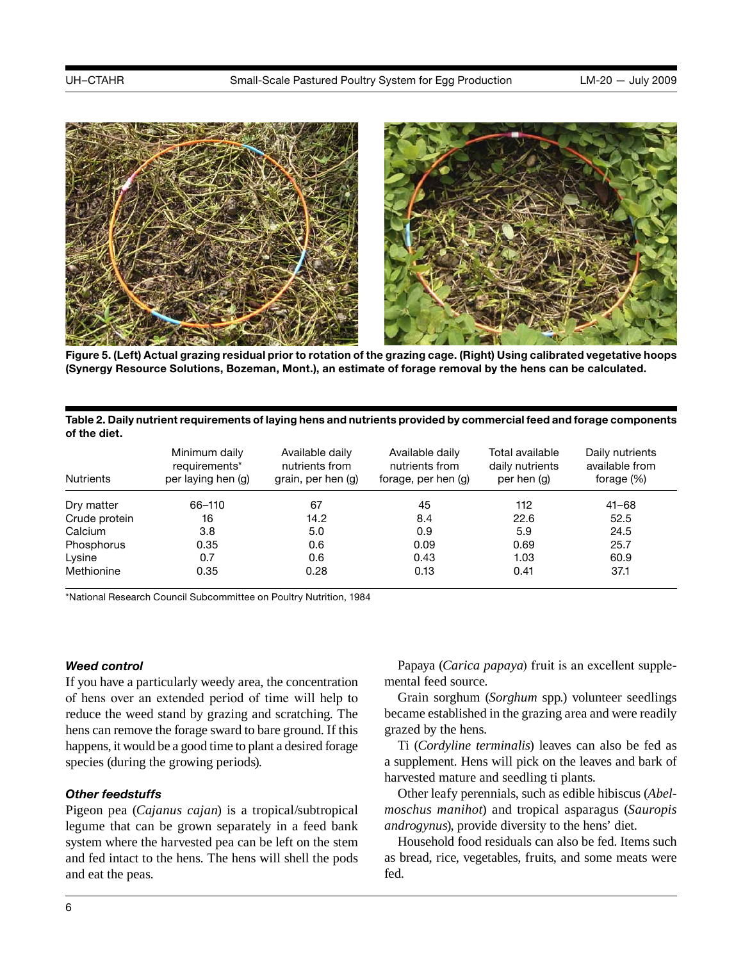

**Figure 5. (Left) Actual grazing residual prior to rotation of the grazing cage. (Right) Using calibrated vegetative hoops (Synergy Resource Solutions, Bozeman, Mont.), an estimate of forage removal by the hens can be calculated.** 

#### **Table 2. Daily nutrient requirements of laying hens and nutrients provided by commercial feed and forage components of the diet.**

| <b>Nutrients</b> | Minimum daily<br>requirements*<br>per laying hen (g) | Available daily<br>nutrients from<br>grain, per hen (g) | Available daily<br>nutrients from<br>forage, per hen (g) | Total available<br>daily nutrients<br>per hen (q) | Daily nutrients<br>available from<br>forage $(\%)$ |
|------------------|------------------------------------------------------|---------------------------------------------------------|----------------------------------------------------------|---------------------------------------------------|----------------------------------------------------|
| Dry matter       | 66-110                                               | 67                                                      | 45                                                       | 112                                               | $41 - 68$                                          |
| Crude protein    | 16                                                   | 14.2                                                    | 8.4                                                      | 22.6                                              | 52.5                                               |
| Calcium          | 3.8                                                  | 5.0                                                     | 0.9                                                      | 5.9                                               | 24.5                                               |
| Phosphorus       | 0.35                                                 | 0.6                                                     | 0.09                                                     | 0.69                                              | 25.7                                               |
| Lysine           | 0.7                                                  | 0.6                                                     | 0.43                                                     | 1.03                                              | 60.9                                               |
| Methionine       | 0.35                                                 | 0.28                                                    | 0.13                                                     | 0.41                                              | 37.1                                               |

\*National Research Council Subcommittee on Poultry Nutrition, 1984

## *Weed control*

 of hens over an extended period of time will help to happens, it would be a good time to plant a desired forage If you have a particularly weedy area, the concentration reduce the weed stand by grazing and scratching. The hens can remove the forage sward to bare ground. If this species (during the growing periods).

## *Other feedstuffs*

 Pigeon pea (*Cajanus cajan*) is a tropical/subtropical legume that can be grown separately in a feed bank system where the harvested pea can be left on the stem and fed intact to the hens. The hens will shell the pods and eat the peas.

Papaya (*Carica papaya*) fruit is an excellent supplemental feed source.

Grain sorghum (*Sorghum* spp.) volunteer seedlings became established in the grazing area and were readily grazed by the hens.

Ti (*Cordyline terminalis*) leaves can also be fed as a supplement. Hens will pick on the leaves and bark of harvested mature and seedling ti plants.

 *moschus manihot*) and tropical asparagus (*Sauropis*  Other leafy perennials, such as edible hibiscus (*Abelandrogynus*), provide diversity to the hens' diet.

Household food residuals can also be fed. Items such as bread, rice, vegetables, fruits, and some meats were fed.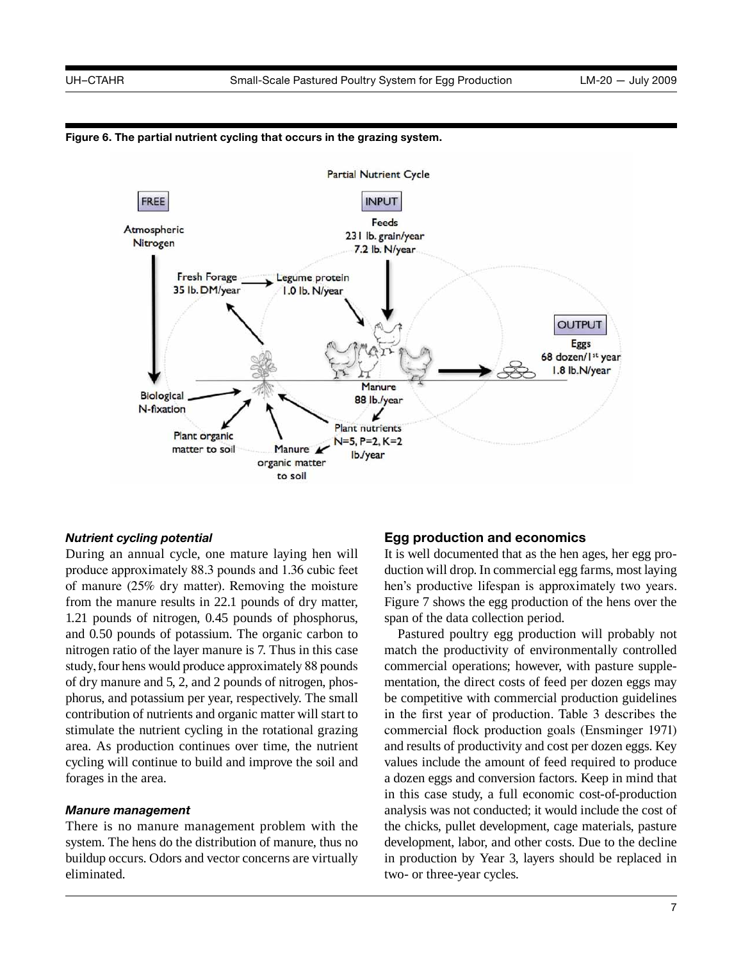



#### *Nutrient cycling potential*

 During an annual cycle, one mature laying hen will of manure (25% dry matter). Removing the moisture 1.21 pounds of nitrogen, 0.45 pounds of phosphorus, study, four hens would produce approximately 88 pounds area. As production continues over time, the nutrient produce approximately 88.3 pounds and 1.36 cubic feet from the manure results in 22.1 pounds of dry matter, and 0.50 pounds of potassium. The organic carbon to nitrogen ratio of the layer manure is 7. Thus in this case of dry manure and 5, 2, and 2 pounds of nitrogen, phosphorus, and potassium per year, respectively. The small contribution of nutrients and organic matter will start to stimulate the nutrient cycling in the rotational grazing cycling will continue to build and improve the soil and forages in the area.

## *Manure management*

 There is no manure management problem with the system. The hens do the distribution of manure, thus no buildup occurs. Odors and vector concerns are virtually eliminated.

## **Egg production and economics**

 duction will drop. In commercial egg farms, most laying hen's productive lifespan is approximately two years. It is well documented that as the hen ages, her egg pro-Figure 7 shows the egg production of the hens over the span of the data collection period.

 match the productivity of environmentally controlled in the first year of production. Table 3 describes the commercial flock production goals (Ensminger 1971) Pastured poultry egg production will probably not commercial operations; however, with pasture supplementation, the direct costs of feed per dozen eggs may be competitive with commercial production guidelines and results of productivity and cost per dozen eggs. Key values include the amount of feed required to produce a dozen eggs and conversion factors. Keep in mind that in this case study, a full economic cost-of-production analysis was not conducted; it would include the cost of the chicks, pullet development, cage materials, pasture development, labor, and other costs. Due to the decline in production by Year 3, layers should be replaced in two- or three-year cycles.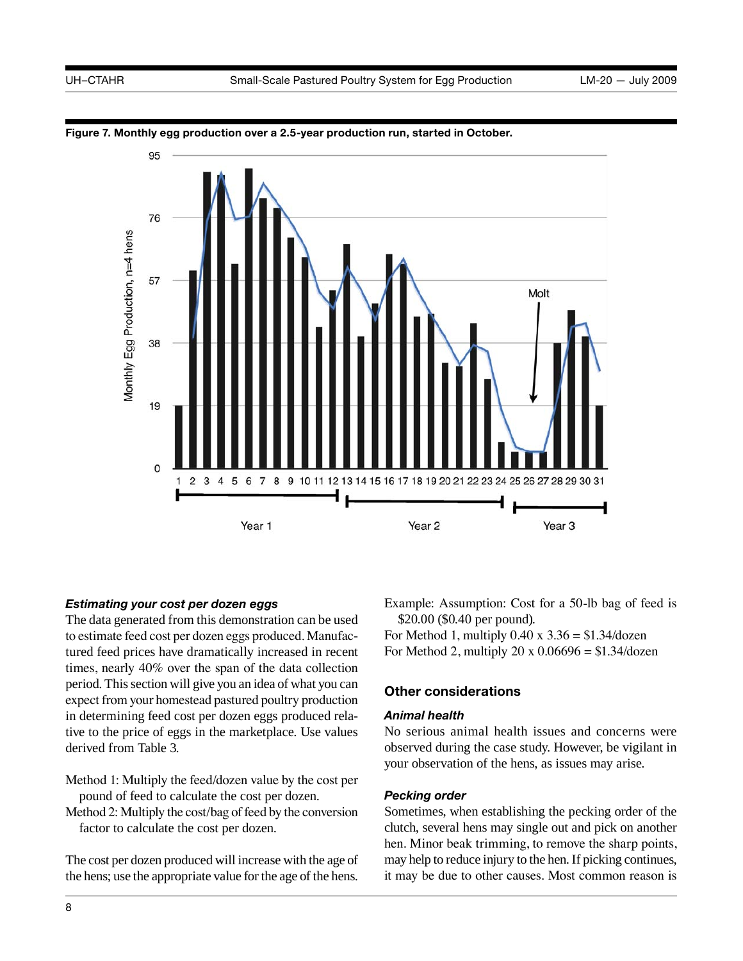

**Figure 7. Monthly egg production over a 2.5-year production run, started in October.** 

## *Estimating your cost per dozen eggs*

 to estimate feed cost per dozen eggs produced. Manufac- period. This section will give you an idea of what you can expect from your homestead pastured poultry production The data generated from this demonstration can be used tured feed prices have dramatically increased in recent times, nearly 40% over the span of the data collection in determining feed cost per dozen eggs produced relative to the price of eggs in the marketplace. Use values derived from Table 3.

- Method 1: Multiply the feed/dozen value by the cost per pound of feed to calculate the cost per dozen.
- Method 2: Multiply the cost/bag of feed by the conversion factor to calculate the cost per dozen.

 The cost per dozen produced will increase with the age of the hens; use the appropriate value for the age of the hens. Example: Assumption: Cost for a 50-lb bag of feed is \$20.00 (\$0.40 per pound).

For Method 1, multiply  $0.40 \times 3.36 = $1.34/\text{dozen}$ For Method 2, multiply 20 x  $0.06696 = $1.34$ /dozen

## **Other considerations**

## *Animal health*

 No serious animal health issues and concerns were observed during the case study. However, be vigilant in your observation of the hens, as issues may arise.

## *Pecking order*

 may help to reduce injury to the hen. If picking continues, Sometimes, when establishing the pecking order of the clutch, several hens may single out and pick on another hen. Minor beak trimming, to remove the sharp points, it may be due to other causes. Most common reason is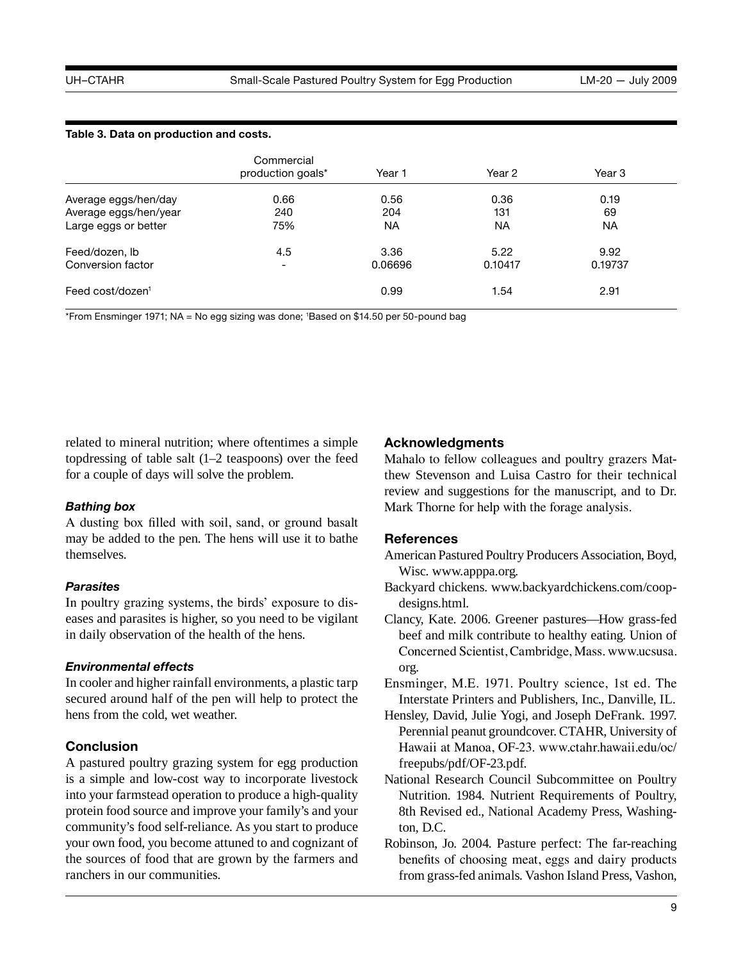#### **Table 3. Data on production and costs.**

|                              | Commercial<br>production goals* | Year 1    | Year 2    | Year 3    |  |
|------------------------------|---------------------------------|-----------|-----------|-----------|--|
| Average eggs/hen/day         | 0.66                            | 0.56      | 0.36      | 0.19      |  |
| Average eggs/hen/year        | 240                             | 204       | 131       | 69        |  |
| Large eggs or better         | 75%                             | <b>NA</b> | <b>NA</b> | <b>NA</b> |  |
| Feed/dozen, Ib               | 4.5                             | 3.36      | 5.22      | 9.92      |  |
| Conversion factor            |                                 | 0.06696   | 0.10417   | 0.19737   |  |
| Feed cost/dozen <sup>1</sup> |                                 | 0.99      | 1.54      | 2.91      |  |

\*From Ensminger 1971; NA = No egg sizing was done; 1 Based on \$14.50 per 50-pound bag

related to mineral nutrition; where oftentimes a simple topdressing of table salt (1–2 teaspoons) over the feed for a couple of days will solve the problem.

## *Bathing box*

A dusting box filled with soil, sand, or ground basalt may be added to the pen. The hens will use it to bathe themselves.

## *Parasites*

In poultry grazing systems, the birds' exposure to diseases and parasites is higher, so you need to be vigilant in daily observation of the health of the hens.

## *Environmental effects*

 In cooler and higher rainfall environments, a plastic tarp secured around half of the pen will help to protect the hens from the cold, wet weather.

## **Conclusion**

A pastured poultry grazing system for egg production is a simple and low-cost way to incorporate livestock into your farmstead operation to produce a high-quality protein food source and improve your family's and your community's food self-reliance. As you start to produce your own food, you become attuned to and cognizant of the sources of food that are grown by the farmers and ranchers in our communities.

## **Acknowledgments**

 thew Stevenson and Luisa Castro for their technical Mahalo to fellow colleagues and poultry grazers Matreview and suggestions for the manuscript, and to Dr. Mark Thorne for help with the forage analysis.

## **References**

 American Pastured Poultry Producers Association, Boyd, Wisc. [www.apppa.org.](www.apppa.org)

- Backyard chickens. [www.backyardchickens.com/coop](http://)[designs.html.](http://)
- Clancy, Kate. 2006. Greener pastures—How grass-fed beef and milk contribute to healthy eating. Union of Concerned Scientist, Cambridge, Mass. [www.ucsusa.](www.ucsusa.org)  [org.](www.ucsusa.org)

 Ensminger, M.E. 1971. Poultry science, 1st ed. The Interstate Printers and Publishers, Inc., Danville, IL.

- Perennial peanut groundcover. CTAHR, University of Hensley, David, Julie Yogi, and Joseph DeFrank. 1997. Hawaii at Manoa, OF-23. [www.ctahr.hawaii.edu/oc/](www.ctahr.hawaii.edu/oc/freepubs/pdf/OF-23.pdf) [freepubs/pdf/OF-23.pdf.](www.ctahr.hawaii.edu/oc/freepubs/pdf/OF-23.pdf)
- National Research Council Subcommittee on Poultry Nutrition. 1984. Nutrient Requirements of Poultry, 8th Revised ed., National Academy Press, Washington, D.C.
- from grass-fed animals. Vashon Island Press, Vashon, Robinson, Jo. 2004. Pasture perfect: The far-reaching benefits of choosing meat, eggs and dairy products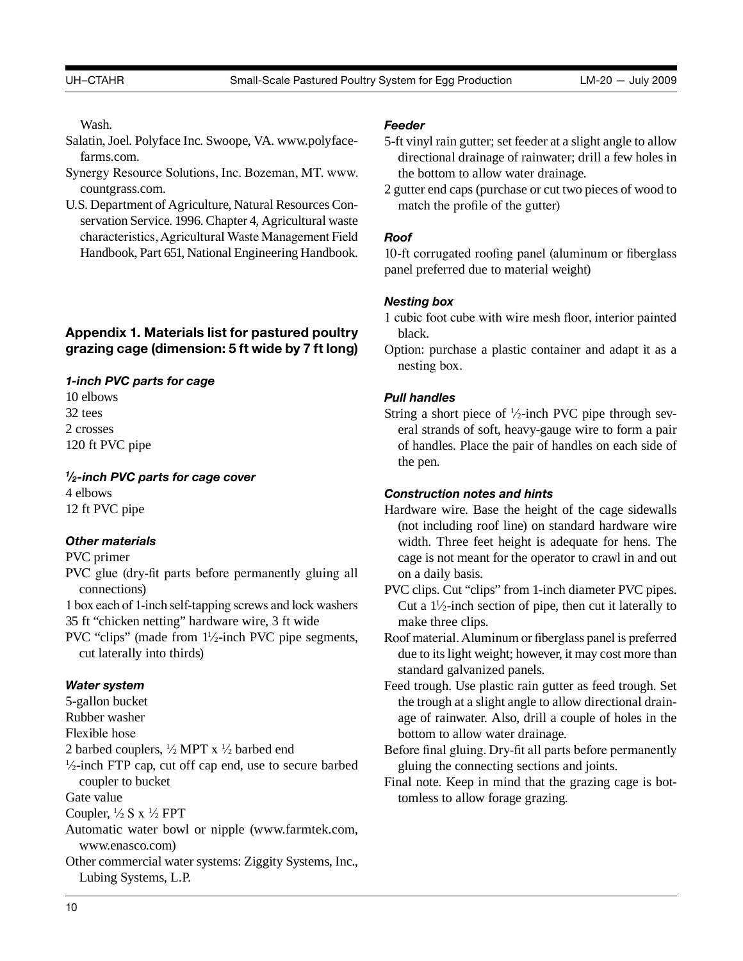Wash.

- Salatin, Joel. Polyface Inc. Swoope, VA. [www.polyface](www.polyfacefarms.com)[farms.com](www.polyfacefarms.com).
- Synergy Resource Solutions, Inc. Bozeman, MT. [www.](www.countgrass.com) [countgrass.com](www.countgrass.com).
- U.S. Department of Agriculture, Natural Resources Con- servation Service. 1996. Chapter 4, Agricultural waste characteristics, Agricultural Waste Management Field Handbook, Part 651, National Engineering Handbook.

## **Appendix 1. Materials list for pastured poultry grazing cage (dimension: 5 ft wide by 7 ft long)**

## *1-inch PVC parts for cage*

10 elbows 32 tees 2 crosses 120 ft PVC pipe

## *<sup>1</sup>⁄2-inch PVC parts for cage cover*

4 elbows 12 ft PVC pipe

## *Other materials*

## PVC primer

- PVC glue (dry-fit parts before permanently gluing all connections)
- 1 box each of 1-inch self-tapping screws and lock washers 35 ft "chicken netting" hardware wire, 3 ft wide
- PVC "clips" (made from  $1\frac{1}{2}$ -inch PVC pipe segments, cut laterally into thirds)

## *Water system*

- 5-gallon bucket
- Rubber washer
- Flexible hose
- 
- 2 barbed couplers,  $\frac{1}{2}$  MPT x  $\frac{1}{2}$  barbed end  $\frac{1}{2}$ -inch FTP cap, cut off cap end, use to secure barbed coupler to bucket
- Gate value
- Coupler,  $\frac{1}{2} S x \frac{1}{2} FPT$
- Automatic water bowl or nipple [\(www.farmtek.com](www.farmtek.com), <www.enasco.com>)
- Other commercial water systems: Ziggity Systems, Inc., Lubing Systems, L.P.

## *Feeder*

- 5-ft vinyl rain gutter; set feeder at a slight angle to allow directional drainage of rainwater; drill a few holes in the bottom to allow water drainage.
- 2 gutter end caps (purchase or cut two pieces of wood to match the profile of the gutter)

## *Roof*

10-ft corrugated roofing panel (aluminum or fiberglass panel preferred due to material weight)

## *Nesting box*

- 1 cubic foot cube with wire mesh floor, interior painted black.
- Option: purchase a plastic container and adapt it as a nesting box.

## *Pull handles*

String a short piece of  $\frac{1}{2}$ -inch PVC pipe through several strands of soft, heavy-gauge wire to form a pair of handles. Place the pair of handles on each side of the pen.

## *Construction notes and hints*

- width. Three feet height is adequate for hens. The Hardware wire. Base the height of the cage sidewalls (not including roof line) on standard hardware wire cage is not meant for the operator to crawl in and out on a daily basis.
- PVC clips. Cut "clips" from 1-inch diameter PVC pipes. Cut a  $1\frac{1}{2}$ -inch section of pipe, then cut it laterally to make three clips.
- Roof material. Aluminum or fiberglass panel is preferred due to its light weight; however, it may cost more than standard galvanized panels.
- Feed trough. Use plastic rain gutter as feed trough. Set the trough at a slight angle to allow directional drainage of rainwater. Also, drill a couple of holes in the bottom to allow water drainage.
- Before final gluing. Dry-fit all parts before permanently gluing the connecting sections and joints.
- Final note. Keep in mind that the grazing cage is bottomless to allow forage grazing.